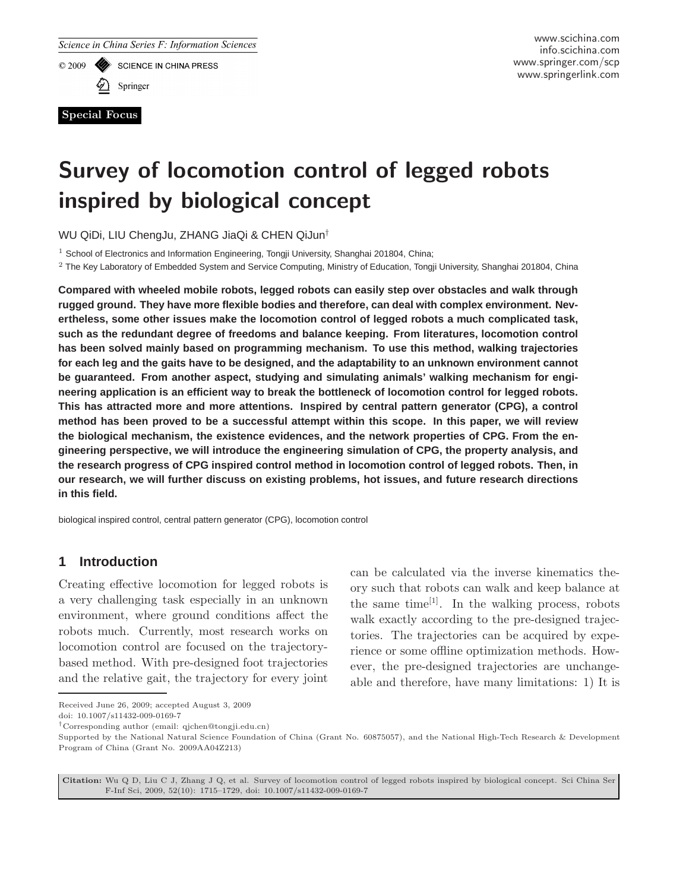**SCIENCE IN CHINA PRESS** 

 $© 2009$ 

Springer

Special Focus

# Survey of locomotion control of legged robots inspired by biological concept

WU QiDi, LIU ChengJu, ZHANG JiaQi & CHEN QiJun†

<sup>1</sup> School of Electronics and Information Engineering, Tongji University, Shanghai 201804, China;

<sup>2</sup> The Key Laboratory of Embedded System and Service Computing, Ministry of Education, Tongji University, Shanghai 201804, China

**Compared with wheeled mobile robots, legged robots can easily step over obstacles and walk through rugged ground. They have more flexible bodies and therefore, can deal with complex environment. Nevertheless, some other issues make the locomotion control of legged robots a much complicated task, such as the redundant degree of freedoms and balance keeping. From literatures, locomotion control has been solved mainly based on programming mechanism. To use this method, walking trajectories for each leg and the gaits have to be designed, and the adaptability to an unknown environment cannot be guaranteed. From another aspect, studying and simulating animals' walking mechanism for engineering application is an efficient way to break the bottleneck of locomotion control for legged robots. This has attracted more and more attentions. Inspired by central pattern generator (CPG), a control method has been proved to be a successful attempt within this scope. In this paper, we will review the biological mechanism, the existence evidences, and the network properties of CPG. From the engineering perspective, we will introduce the engineering simulation of CPG, the property analysis, and the research progress of CPG inspired control method in locomotion control of legged robots. Then, in our research, we will further discuss on existing problems, hot issues, and future research directions in this field.**

biological inspired control, central pattern generator (CPG), locomotion control

## **1 Introduction**

Creating effective locomotion for legged robots is a very challenging task especially in an unknown environment, where ground conditions affect the robots much. Currently, most research works on locomotion control are focused on the trajectorybased method. With pre-designed foot trajectories and the relative gait, the trajectory for every joint

can be calculated via the inverse kinematics theory such that robots can walk and keep balance at the same time<sup>[1]</sup>. In the walking process, robots walk exactly according to the pre-designed trajectories. The trajectories can be acquired by experience or some offline optimization methods. However, the pre-designed trajectories are unchangeable and therefore, have many limitations: 1) It is

Citation: Wu Q D, Liu C J, Zhang J Q, et al. Survey of locomotion control of legged robots inspired by biological concept. Sci China Ser F-Inf Sci, 2009, 52(10): 1715–1729, doi: 10.1007/s11432-009-0169-7

Received June 26, 2009; accepted August 3, 2009 doi: 10.1007/s11432-009-0169-7

<sup>†</sup>Corresponding author (email: qjchen@tongji.edu.cn)

Supported by the National Natural Science Foundation of China (Grant No. 60875057), and the National High-Tech Research & Development Program of China (Grant No. 2009AA04Z213)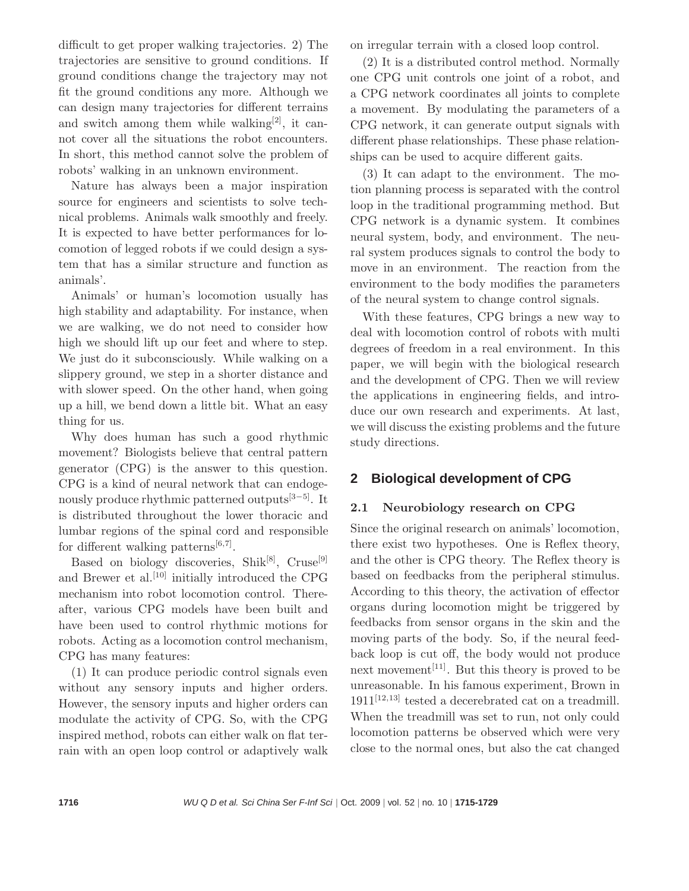difficult to get proper walking trajectories. 2) The trajectories are sensitive to ground conditions. If ground conditions change the trajectory may not fit the ground conditions any more. Although we can design many trajectories for different terrains and switch among them while walking<sup>[2]</sup>, it cannot cover all the situations the robot encounters. In short, this method cannot solve the problem of robots' walking in an unknown environment.

Nature has always been a major inspiration source for engineers and scientists to solve technical problems. Animals walk smoothly and freely. It is expected to have better performances for locomotion of legged robots if we could design a system that has a similar structure and function as animals'.

Animals' or human's locomotion usually has high stability and adaptability. For instance, when we are walking, we do not need to consider how high we should lift up our feet and where to step. We just do it subconsciously. While walking on a slippery ground, we step in a shorter distance and with slower speed. On the other hand, when going up a hill, we bend down a little bit. What an easy thing for us.

Why does human has such a good rhythmic movement? Biologists believe that central pattern generator (CPG) is the answer to this question. CPG is a kind of neural network that can endogenously produce rhythmic patterned outputs<sup>[3−5]</sup>. It is distributed throughout the lower thoracic and lumbar regions of the spinal cord and responsible for different walking patterns<sup>[6,7]</sup>.

Based on biology discoveries, Shik<sup>[8]</sup>, Cruse<sup>[9]</sup> and Brewer et al.<sup>[10]</sup> initially introduced the CPG mechanism into robot locomotion control. Thereafter, various CPG models have been built and have been used to control rhythmic motions for robots. Acting as a locomotion control mechanism, CPG has many features:

(1) It can produce periodic control signals even without any sensory inputs and higher orders. However, the sensory inputs and higher orders can modulate the activity of CPG. So, with the CPG inspired method, robots can either walk on flat terrain with an open loop control or adaptively walk on irregular terrain with a closed loop control.

(2) It is a distributed control method. Normally one CPG unit controls one joint of a robot, and a CPG network coordinates all joints to complete a movement. By modulating the parameters of a CPG network, it can generate output signals with different phase relationships. These phase relationships can be used to acquire different gaits.

(3) It can adapt to the environment. The motion planning process is separated with the control loop in the traditional programming method. But CPG network is a dynamic system. It combines neural system, body, and environment. The neural system produces signals to control the body to move in an environment. The reaction from the environment to the body modifies the parameters of the neural system to change control signals.

With these features, CPG brings a new way to deal with locomotion control of robots with multi degrees of freedom in a real environment. In this paper, we will begin with the biological research and the development of CPG. Then we will review the applications in engineering fields, and introduce our own research and experiments. At last, we will discuss the existing problems and the future study directions.

## **2 Biological development of CPG**

### 2.1 Neurobiology research on CPG

Since the original research on animals' locomotion, there exist two hypotheses. One is Reflex theory, and the other is CPG theory. The Reflex theory is based on feedbacks from the peripheral stimulus. According to this theory, the activation of effector organs during locomotion might be triggered by feedbacks from sensor organs in the skin and the moving parts of the body. So, if the neural feedback loop is cut off, the body would not produce next movement<sup>[11]</sup>. But this theory is proved to be unreasonable. In his famous experiment, Brown in  $1911^{[12,13]}$  tested a decerebrated cat on a treadmill. When the treadmill was set to run, not only could locomotion patterns be observed which were very close to the normal ones, but also the cat changed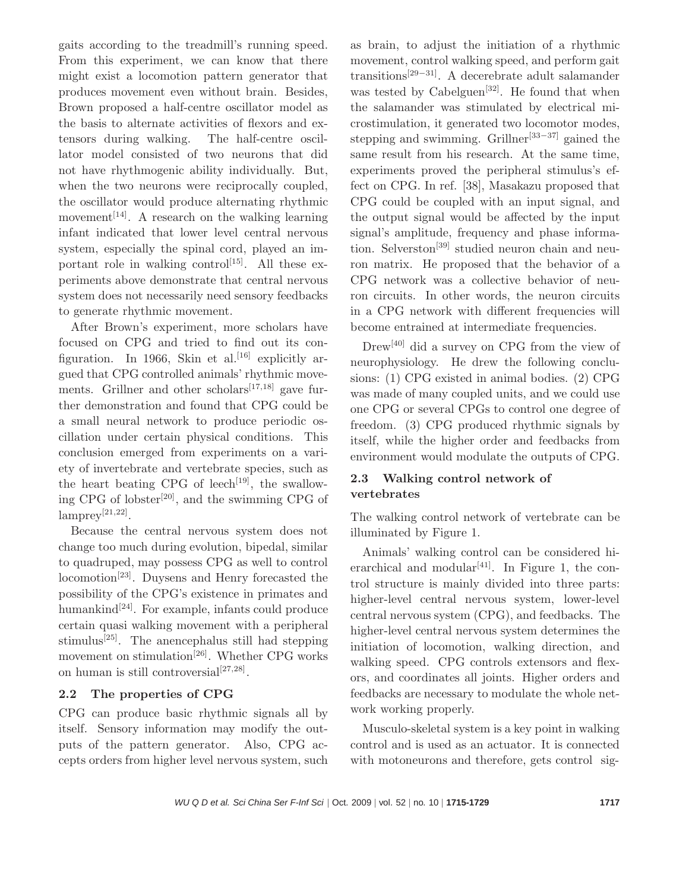gaits according to the treadmill's running speed. From this experiment, we can know that there might exist a locomotion pattern generator that produces movement even without brain. Besides, Brown proposed a half-centre oscillator model as the basis to alternate activities of flexors and extensors during walking. The half-centre oscillator model consisted of two neurons that did not have rhythmogenic ability individually. But, when the two neurons were reciprocally coupled, the oscillator would produce alternating rhythmic movement<sup>[14]</sup>. A research on the walking learning infant indicated that lower level central nervous system, especially the spinal cord, played an important role in walking control<sup>[15]</sup>. All these experiments above demonstrate that central nervous system does not necessarily need sensory feedbacks to generate rhythmic movement.

After Brown's experiment, more scholars have focused on CPG and tried to find out its configuration. In 1966, Skin et al.<sup>[16]</sup> explicitly argued that CPG controlled animals' rhythmic movements. Grillner and other scholars<sup>[17,18]</sup> gave further demonstration and found that CPG could be a small neural network to produce periodic oscillation under certain physical conditions. This conclusion emerged from experiments on a variety of invertebrate and vertebrate species, such as the heart beating CPG of leech<sup>[19]</sup>, the swallowing CPG of lobster<sup>[20]</sup>, and the swimming CPG of  $\text{lamprey}^{[21,22]}.$ 

Because the central nervous system does not change too much during evolution, bipedal, similar to quadruped, may possess CPG as well to control locomotion[23]. Duysens and Henry forecasted the possibility of the CPG's existence in primates and humankind $[24]$ . For example, infants could produce certain quasi walking movement with a peripheral stimulus<sup>[25]</sup>. The anencephalus still had stepping movement on stimulation<sup>[26]</sup>. Whether CPG works on human is still controversial<sup>[27,28]</sup>.

#### 2.2 The properties of CPG

CPG can produce basic rhythmic signals all by itself. Sensory information may modify the outputs of the pattern generator. Also, CPG accepts orders from higher level nervous system, such

as brain, to adjust the initiation of a rhythmic movement, control walking speed, and perform gait transitions[29−31]. A decerebrate adult salamander was tested by Cabelguen<sup>[32]</sup>. He found that when the salamander was stimulated by electrical microstimulation, it generated two locomotor modes, stepping and swimming. Grillner<sup>[33−37]</sup> gained the same result from his research. At the same time, experiments proved the peripheral stimulus's effect on CPG. In ref. [38], Masakazu proposed that CPG could be coupled with an input signal, and the output signal would be affected by the input signal's amplitude, frequency and phase information. Selverston<sup>[39]</sup> studied neuron chain and neuron matrix. He proposed that the behavior of a CPG network was a collective behavior of neuron circuits. In other words, the neuron circuits in a CPG network with different frequencies will become entrained at intermediate frequencies.

Drew[40] did a survey on CPG from the view of neurophysiology. He drew the following conclusions: (1) CPG existed in animal bodies. (2) CPG was made of many coupled units, and we could use one CPG or several CPGs to control one degree of freedom. (3) CPG produced rhythmic signals by itself, while the higher order and feedbacks from environment would modulate the outputs of CPG.

### 2.3 Walking control network of vertebrates

The walking control network of vertebrate can be illuminated by Figure 1.

Animals' walking control can be considered hierarchical and modular<sup>[41]</sup>. In Figure 1, the control structure is mainly divided into three parts: higher-level central nervous system, lower-level central nervous system (CPG), and feedbacks. The higher-level central nervous system determines the initiation of locomotion, walking direction, and walking speed. CPG controls extensors and flexors, and coordinates all joints. Higher orders and feedbacks are necessary to modulate the whole network working properly.

Musculo-skeletal system is a key point in walking control and is used as an actuator. It is connected with motoneurons and therefore, gets control sig-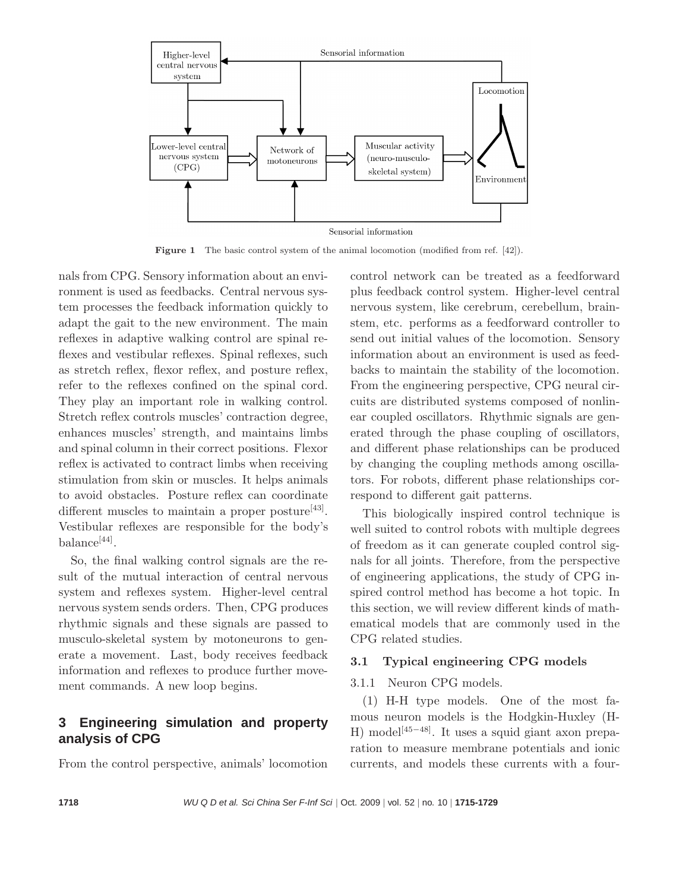

Figure 1 The basic control system of the animal locomotion (modified from ref. [42]).

nals from CPG. Sensory information about an environment is used as feedbacks. Central nervous system processes the feedback information quickly to adapt the gait to the new environment. The main reflexes in adaptive walking control are spinal reflexes and vestibular reflexes. Spinal reflexes, such as stretch reflex, flexor reflex, and posture reflex, refer to the reflexes confined on the spinal cord. They play an important role in walking control. Stretch reflex controls muscles' contraction degree, enhances muscles' strength, and maintains limbs and spinal column in their correct positions. Flexor reflex is activated to contract limbs when receiving stimulation from skin or muscles. It helps animals to avoid obstacles. Posture reflex can coordinate different muscles to maintain a proper posture<sup>[43]</sup>. Vestibular reflexes are responsible for the body's balance<sup>[44]</sup>.

So, the final walking control signals are the result of the mutual interaction of central nervous system and reflexes system. Higher-level central nervous system sends orders. Then, CPG produces rhythmic signals and these signals are passed to musculo-skeletal system by motoneurons to generate a movement. Last, body receives feedback information and reflexes to produce further movement commands. A new loop begins.

## **3 Engineering simulation and property analysis of CPG**

From the control perspective, animals' locomotion

control network can be treated as a feedforward plus feedback control system. Higher-level central nervous system, like cerebrum, cerebellum, brainstem, etc. performs as a feedforward controller to send out initial values of the locomotion. Sensory information about an environment is used as feedbacks to maintain the stability of the locomotion. From the engineering perspective, CPG neural circuits are distributed systems composed of nonlinear coupled oscillators. Rhythmic signals are generated through the phase coupling of oscillators, and different phase relationships can be produced by changing the coupling methods among oscillators. For robots, different phase relationships correspond to different gait patterns.

This biologically inspired control technique is well suited to control robots with multiple degrees of freedom as it can generate coupled control signals for all joints. Therefore, from the perspective of engineering applications, the study of CPG inspired control method has become a hot topic. In this section, we will review different kinds of mathematical models that are commonly used in the CPG related studies.

#### 3.1 Typical engineering CPG models

#### 3.1.1 Neuron CPG models.

(1) H-H type models. One of the most famous neuron models is the Hodgkin-Huxley (H-H) model<sup>[45−48]</sup>. It uses a squid giant axon preparation to measure membrane potentials and ionic currents, and models these currents with a four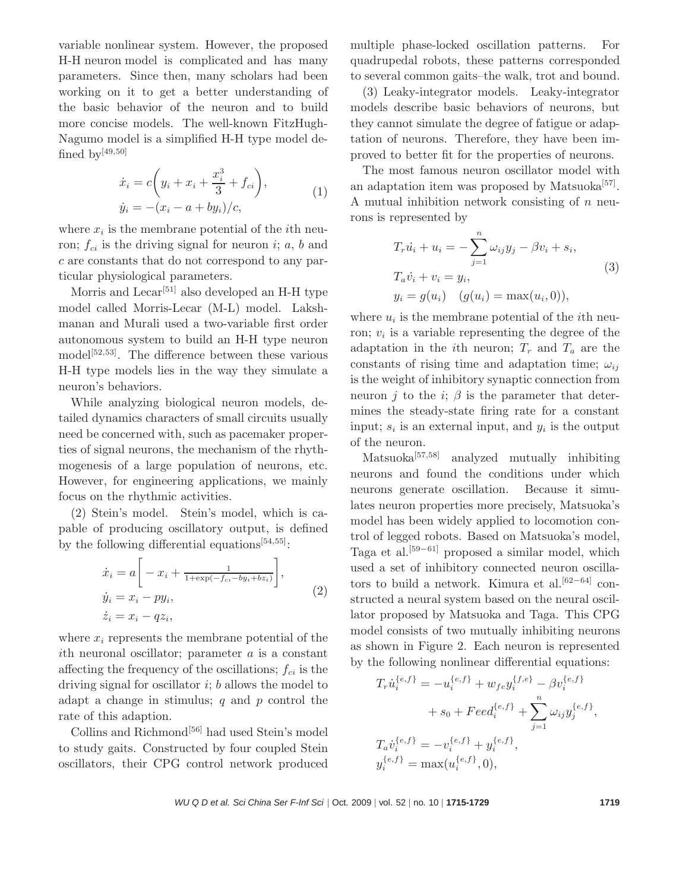variable nonlinear system. However, the proposed H-H neuron model is complicated and has many parameters. Since then, many scholars had been working on it to get a better understanding of the basic behavior of the neuron and to build more concise models. The well-known FitzHugh-Nagumo model is a simplified H-H type model defined by  $[49,50]$ 

$$
\dot{x}_i = c \left( y_i + x_i + \frac{x_i^3}{3} + f_{ci} \right), \n\dot{y}_i = -(x_i - a + by_i)/c,
$$
\n(1)

where  $x_i$  is the membrane potential of the *i*th neuron;  $f_{ci}$  is the driving signal for neuron i; a, b and c are constants that do not correspond to any particular physiological parameters.

Morris and  $\text{Lecar}^{[51]}$  also developed an H-H type model called Morris-Lecar (M-L) model. Lakshmanan and Murali used a two-variable first order autonomous system to build an H-H type neuron model<sup>[52,53]</sup>. The difference between these various H-H type models lies in the way they simulate a neuron's behaviors.

While analyzing biological neuron models, detailed dynamics characters of small circuits usually need be concerned with, such as pacemaker properties of signal neurons, the mechanism of the rhythmogenesis of a large population of neurons, etc. However, for engineering applications, we mainly focus on the rhythmic activities.

(2) Stein's model. Stein's model, which is capable of producing oscillatory output, is defined by the following differential equations  $[54,55]$ :

$$
\begin{aligned}\n\dot{x}_i &= a \bigg[ -x_i + \frac{1}{1 + \exp(-f_{ci} - by_i + bz_i)} \bigg], \\
\dot{y}_i &= x_i - py_i, \\
\dot{z}_i &= x_i - qz_i,\n\end{aligned} \tag{2}
$$

where  $x_i$  represents the membrane potential of the ith neuronal oscillator; parameter  $a$  is a constant affecting the frequency of the oscillations;  $f_{ci}$  is the driving signal for oscillator  $i$ ;  $b$  allows the model to adapt a change in stimulus;  $q$  and  $p$  control the rate of this adaption.

Collins and Richmond[56] had used Stein's model to study gaits. Constructed by four coupled Stein oscillators, their CPG control network produced multiple phase-locked oscillation patterns. For quadrupedal robots, these patterns corresponded to several common gaits–the walk, trot and bound.

(3) Leaky-integrator models. Leaky-integrator models describe basic behaviors of neurons, but they cannot simulate the degree of fatigue or adaptation of neurons. Therefore, they have been improved to better fit for the properties of neurons.

The most famous neuron oscillator model with an adaptation item was proposed by Matsuoka<sup>[57]</sup>. A mutual inhibition network consisting of  $n$  neurons is represented by

$$
T_r \dot{u}_i + u_i = -\sum_{j=1}^n \omega_{ij} y_j - \beta v_i + s_i,
$$
  
\n
$$
T_a \dot{v}_i + v_i = y_i,
$$
  
\n
$$
y_i = g(u_i) \quad (g(u_i) = \max(u_i, 0)),
$$
\n(3)

where  $u_i$  is the membrane potential of the *i*th neuron;  $v_i$  is a variable representing the degree of the adaptation in the *i*th neuron;  $T_r$  and  $T_a$  are the constants of rising time and adaptation time;  $\omega_{ij}$ is the weight of inhibitory synaptic connection from neuron j to the i;  $\beta$  is the parameter that determines the steady-state firing rate for a constant input;  $s_i$  is an external input, and  $y_i$  is the output of the neuron.

 $Matsuoka<sup>[57,58]</sup>$  analyzed mutually inhibiting neurons and found the conditions under which neurons generate oscillation. Because it simulates neuron properties more precisely, Matsuoka's model has been widely applied to locomotion control of legged robots. Based on Matsuoka's model, Taga et al.[59−61] proposed a similar model, which used a set of inhibitory connected neuron oscillators to build a network. Kimura et al.<sup>[62−64]</sup> constructed a neural system based on the neural oscillator proposed by Matsuoka and Taga. This CPG model consists of two mutually inhibiting neurons as shown in Figure 2. Each neuron is represented by the following nonlinear differential equations:

$$
T_r \dot{u}_i^{\{e,f\}} = -u_i^{\{e,f\}} + w_{fe} y_i^{\{f,e\}} - \beta v_i^{\{e,f\}} + s_0 + Feed_i^{\{e,f\}} + \sum_{j=1}^n \omega_{ij} y_j^{\{e,f\}},
$$
  

$$
T_a \dot{v}_i^{\{e,f\}} = -v_i^{\{e,f\}} + y_i^{\{e,f\}},
$$
  

$$
y_i^{\{e,f\}} = \max(u_i^{\{e,f\}}, 0),
$$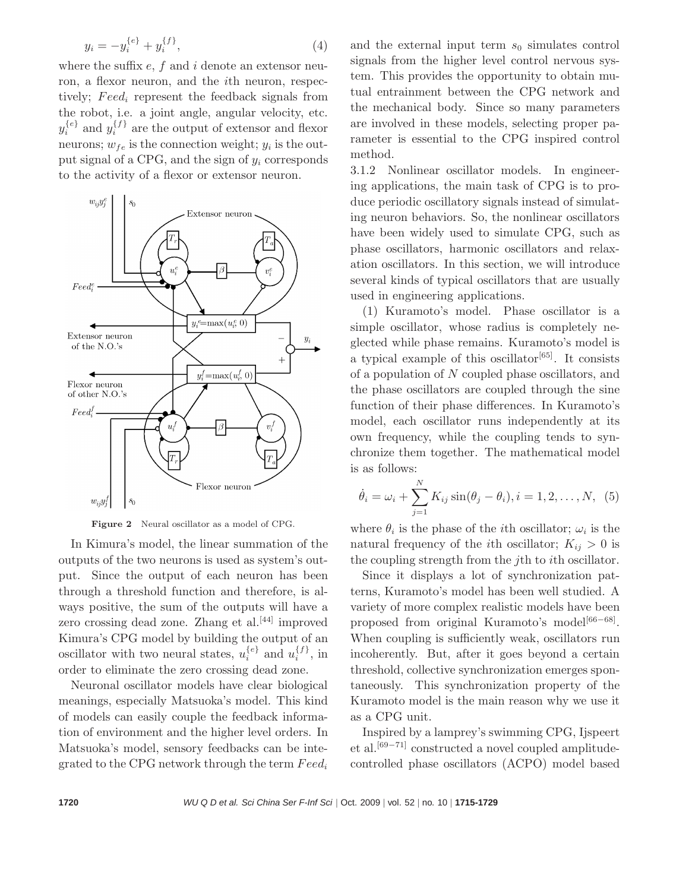$$
y_i = -y_i^{\{e\}} + y_i^{\{f\}},\tag{4}
$$

where the suffix  $e$ ,  $f$  and  $i$  denote an extensor neuron, a flexor neuron, and the ith neuron, respectively;  $\text{Feed}_i$  represent the feedback signals from the robot, i.e. a joint angle, angular velocity, etc.  $y_i^{\{e\}}$  and  $y_i^{\{f\}}$  are the output of extensor and flexor neurons;  $w_{fe}$  is the connection weight;  $y_i$  is the output signal of a CPG, and the sign of  $y_i$  corresponds to the activity of a flexor or extensor neuron.



Figure 2 Neural oscillator as a model of CPG.

In Kimura's model, the linear summation of the outputs of the two neurons is used as system's output. Since the output of each neuron has been through a threshold function and therefore, is always positive, the sum of the outputs will have a zero crossing dead zone. Zhang et al. $[44]$  improved Kimura's CPG model by building the output of an oscillator with two neural states,  $u_i^{\{e\}}$  and  $u_i^{\{f\}}$ , in order to eliminate the zero crossing dead zone.

Neuronal oscillator models have clear biological meanings, especially Matsuoka's model. This kind of models can easily couple the feedback information of environment and the higher level orders. In Matsuoka's model, sensory feedbacks can be integrated to the CPG network through the term  $Feed_i$ 

and the external input term  $s_0$  simulates control signals from the higher level control nervous system. This provides the opportunity to obtain mutual entrainment between the CPG network and the mechanical body. Since so many parameters are involved in these models, selecting proper parameter is essential to the CPG inspired control method.

3.1.2 Nonlinear oscillator models. In engineering applications, the main task of CPG is to produce periodic oscillatory signals instead of simulating neuron behaviors. So, the nonlinear oscillators have been widely used to simulate CPG, such as phase oscillators, harmonic oscillators and relaxation oscillators. In this section, we will introduce several kinds of typical oscillators that are usually used in engineering applications.

(1) Kuramoto's model. Phase oscillator is a simple oscillator, whose radius is completely neglected while phase remains. Kuramoto's model is a typical example of this oscillator<sup>[65]</sup>. It consists of a population of N coupled phase oscillators, and the phase oscillators are coupled through the sine function of their phase differences. In Kuramoto's model, each oscillator runs independently at its own frequency, while the coupling tends to synchronize them together. The mathematical model is as follows:

$$
\dot{\theta}_i = \omega_i + \sum_{j=1}^{N} K_{ij} \sin(\theta_j - \theta_i), i = 1, 2, ..., N, (5)
$$

where  $\theta_i$  is the phase of the *i*th oscillator;  $\omega_i$  is the natural frequency of the *i*th oscillator;  $K_{ij} > 0$  is the coupling strength from the jth to ith oscillator.

Since it displays a lot of synchronization patterns, Kuramoto's model has been well studied. A variety of more complex realistic models have been proposed from original Kuramoto's model<sup>[66−68]</sup>. When coupling is sufficiently weak, oscillators run incoherently. But, after it goes beyond a certain threshold, collective synchronization emerges spontaneously. This synchronization property of the Kuramoto model is the main reason why we use it as a CPG unit.

Inspired by a lamprey's swimming CPG, Ijspeert et al.[69−71] constructed a novel coupled amplitudecontrolled phase oscillators (ACPO) model based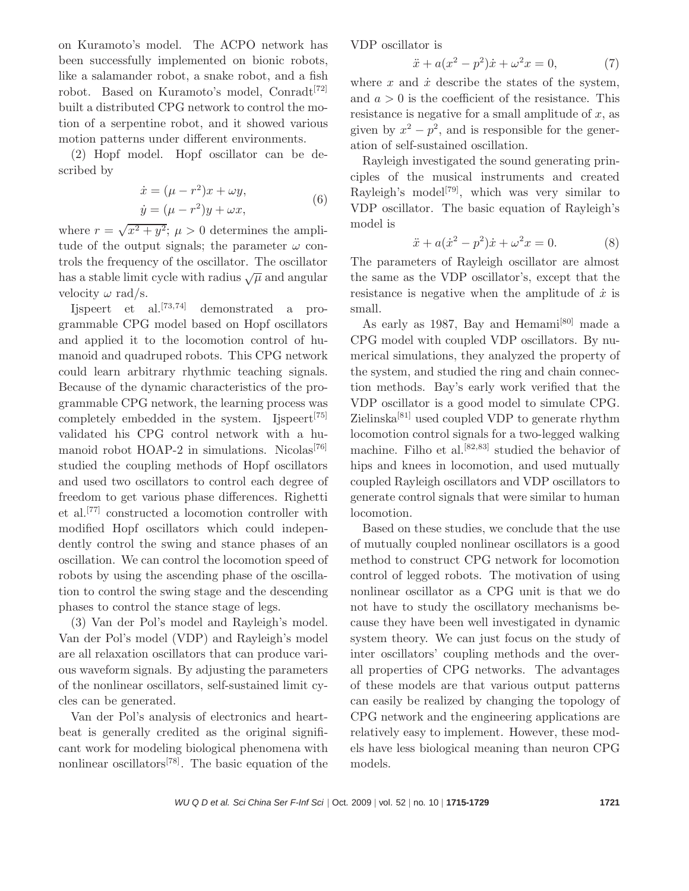on Kuramoto's model. The ACPO network has been successfully implemented on bionic robots, like a salamander robot, a snake robot, and a fish robot. Based on Kuramoto's model, Conradt<sup>[72]</sup> built a distributed CPG network to control the motion of a serpentine robot, and it showed various motion patterns under different environments.

(2) Hopf model. Hopf oscillator can be described by

$$
\begin{aligned} \dot{x} &= (\mu - r^2)x + \omega y, \\ \dot{y} &= (\mu - r^2)y + \omega x, \end{aligned} \tag{6}
$$

where  $r = \sqrt{x^2 + y^2}$ ;  $\mu > 0$  determines the amplitude of the output signals; the parameter  $\omega$  controls the frequency of the oscillator. The oscillator has a stable limit cycle with radius  $\sqrt{\mu}$  and angular velocity  $\omega$  rad/s.

Ijspeert et al.[73,74] demonstrated a programmable CPG model based on Hopf oscillators and applied it to the locomotion control of humanoid and quadruped robots. This CPG network could learn arbitrary rhythmic teaching signals. Because of the dynamic characteristics of the programmable CPG network, the learning process was completely embedded in the system. Ijspeert<sup>[75]</sup> validated his CPG control network with a humanoid robot HOAP-2 in simulations. Nicolas<sup>[76]</sup> studied the coupling methods of Hopf oscillators and used two oscillators to control each degree of freedom to get various phase differences. Righetti et al.[77] constructed a locomotion controller with modified Hopf oscillators which could independently control the swing and stance phases of an oscillation. We can control the locomotion speed of robots by using the ascending phase of the oscillation to control the swing stage and the descending phases to control the stance stage of legs.

(3) Van der Pol's model and Rayleigh's model. Van der Pol's model (VDP) and Rayleigh's model are all relaxation oscillators that can produce various waveform signals. By adjusting the parameters of the nonlinear oscillators, self-sustained limit cycles can be generated.

Van der Pol's analysis of electronics and heartbeat is generally credited as the original significant work for modeling biological phenomena with nonlinear oscillators<sup>[78]</sup>. The basic equation of the VDP oscillator is

$$
\ddot{x} + a(x^2 - p^2)\dot{x} + \omega^2 x = 0,
$$
 (7)

where  $x$  and  $\dot{x}$  describe the states of the system, and  $a > 0$  is the coefficient of the resistance. This resistance is negative for a small amplitude of  $x$ , as given by  $x^2 - p^2$ , and is responsible for the generation of self-sustained oscillation.

Rayleigh investigated the sound generating principles of the musical instruments and created Rayleigh's model<sup>[79]</sup>, which was very similar to VDP oscillator. The basic equation of Rayleigh's model is

$$
\ddot{x} + a(\dot{x}^2 - p^2)\dot{x} + \omega^2 x = 0.
$$
 (8)

The parameters of Rayleigh oscillator are almost the same as the VDP oscillator's, except that the resistance is negative when the amplitude of  $\dot{x}$  is small.

As early as 1987, Bay and Hemami<sup>[80]</sup> made a CPG model with coupled VDP oscillators. By numerical simulations, they analyzed the property of the system, and studied the ring and chain connection methods. Bay's early work verified that the VDP oscillator is a good model to simulate CPG. Zielinska[81] used coupled VDP to generate rhythm locomotion control signals for a two-legged walking machine. Filho et al.<sup>[82,83]</sup> studied the behavior of hips and knees in locomotion, and used mutually coupled Rayleigh oscillators and VDP oscillators to generate control signals that were similar to human locomotion.

Based on these studies, we conclude that the use of mutually coupled nonlinear oscillators is a good method to construct CPG network for locomotion control of legged robots. The motivation of using nonlinear oscillator as a CPG unit is that we do not have to study the oscillatory mechanisms because they have been well investigated in dynamic system theory. We can just focus on the study of inter oscillators' coupling methods and the overall properties of CPG networks. The advantages of these models are that various output patterns can easily be realized by changing the topology of CPG network and the engineering applications are relatively easy to implement. However, these models have less biological meaning than neuron CPG models.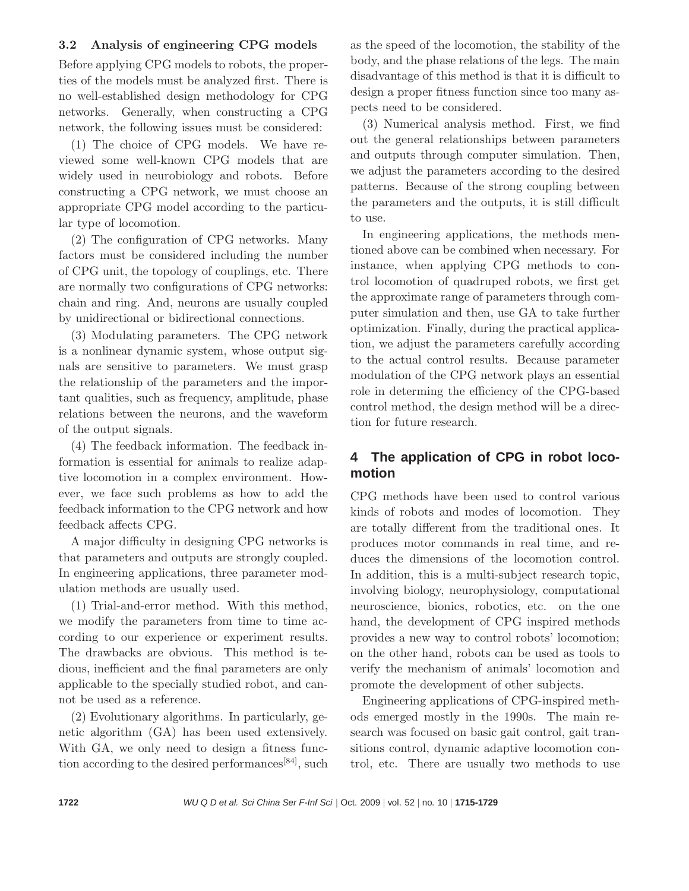#### 3.2 Analysis of engineering CPG models

Before applying CPG models to robots, the properties of the models must be analyzed first. There is no well-established design methodology for CPG networks. Generally, when constructing a CPG network, the following issues must be considered:

(1) The choice of CPG models. We have reviewed some well-known CPG models that are widely used in neurobiology and robots. Before constructing a CPG network, we must choose an appropriate CPG model according to the particular type of locomotion.

(2) The configuration of CPG networks. Many factors must be considered including the number of CPG unit, the topology of couplings, etc. There are normally two configurations of CPG networks: chain and ring. And, neurons are usually coupled by unidirectional or bidirectional connections.

(3) Modulating parameters. The CPG network is a nonlinear dynamic system, whose output signals are sensitive to parameters. We must grasp the relationship of the parameters and the important qualities, such as frequency, amplitude, phase relations between the neurons, and the waveform of the output signals.

(4) The feedback information. The feedback information is essential for animals to realize adaptive locomotion in a complex environment. However, we face such problems as how to add the feedback information to the CPG network and how feedback affects CPG.

A major difficulty in designing CPG networks is that parameters and outputs are strongly coupled. In engineering applications, three parameter modulation methods are usually used.

(1) Trial-and-error method. With this method, we modify the parameters from time to time according to our experience or experiment results. The drawbacks are obvious. This method is tedious, inefficient and the final parameters are only applicable to the specially studied robot, and cannot be used as a reference.

(2) Evolutionary algorithms. In particularly, genetic algorithm (GA) has been used extensively. With GA, we only need to design a fitness function according to the desired performances<sup>[84]</sup>, such as the speed of the locomotion, the stability of the body, and the phase relations of the legs. The main disadvantage of this method is that it is difficult to design a proper fitness function since too many aspects need to be considered.

(3) Numerical analysis method. First, we find out the general relationships between parameters and outputs through computer simulation. Then, we adjust the parameters according to the desired patterns. Because of the strong coupling between the parameters and the outputs, it is still difficult to use.

In engineering applications, the methods mentioned above can be combined when necessary. For instance, when applying CPG methods to control locomotion of quadruped robots, we first get the approximate range of parameters through computer simulation and then, use GA to take further optimization. Finally, during the practical application, we adjust the parameters carefully according to the actual control results. Because parameter modulation of the CPG network plays an essential role in determing the efficiency of the CPG-based control method, the design method will be a direction for future research.

## **4 The application of CPG in robot locomotion**

CPG methods have been used to control various kinds of robots and modes of locomotion. They are totally different from the traditional ones. It produces motor commands in real time, and reduces the dimensions of the locomotion control. In addition, this is a multi-subject research topic, involving biology, neurophysiology, computational neuroscience, bionics, robotics, etc. on the one hand, the development of CPG inspired methods provides a new way to control robots' locomotion; on the other hand, robots can be used as tools to verify the mechanism of animals' locomotion and promote the development of other subjects.

Engineering applications of CPG-inspired methods emerged mostly in the 1990s. The main research was focused on basic gait control, gait transitions control, dynamic adaptive locomotion control, etc. There are usually two methods to use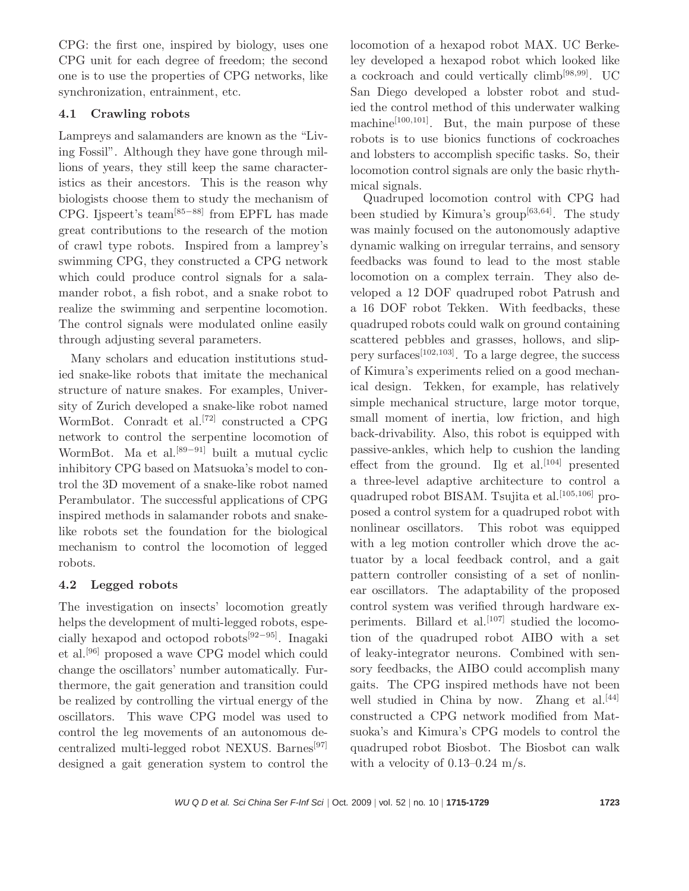CPG: the first one, inspired by biology, uses one CPG unit for each degree of freedom; the second one is to use the properties of CPG networks, like synchronization, entrainment, etc.

## 4.1 Crawling robots

Lampreys and salamanders are known as the "Living Fossil". Although they have gone through millions of years, they still keep the same characteristics as their ancestors. This is the reason why biologists choose them to study the mechanism of CPG. Ijspeert's team[85−88] from EPFL has made great contributions to the research of the motion of crawl type robots. Inspired from a lamprey's swimming CPG, they constructed a CPG network which could produce control signals for a salamander robot, a fish robot, and a snake robot to realize the swimming and serpentine locomotion. The control signals were modulated online easily through adjusting several parameters.

Many scholars and education institutions studied snake-like robots that imitate the mechanical structure of nature snakes. For examples, University of Zurich developed a snake-like robot named WormBot. Conradt et al.<sup>[72]</sup> constructed a CPG network to control the serpentine locomotion of WormBot. Ma et al.<sup>[89−91]</sup> built a mutual cyclic inhibitory CPG based on Matsuoka's model to control the 3D movement of a snake-like robot named Perambulator. The successful applications of CPG inspired methods in salamander robots and snakelike robots set the foundation for the biological mechanism to control the locomotion of legged robots.

## 4.2 Legged robots

The investigation on insects' locomotion greatly helps the development of multi-legged robots, especially hexapod and octopod robots[92−95]. Inagaki et al.[96] proposed a wave CPG model which could change the oscillators' number automatically. Furthermore, the gait generation and transition could be realized by controlling the virtual energy of the oscillators. This wave CPG model was used to control the leg movements of an autonomous decentralized multi-legged robot NEXUS. Barnes[97] designed a gait generation system to control the

locomotion of a hexapod robot MAX. UC Berkeley developed a hexapod robot which looked like a cockroach and could vertically climb[98,99]. UC San Diego developed a lobster robot and studied the control method of this underwater walking machine<sup>[100,101]</sup>. But, the main purpose of these robots is to use bionics functions of cockroaches and lobsters to accomplish specific tasks. So, their locomotion control signals are only the basic rhythmical signals.

Quadruped locomotion control with CPG had been studied by Kimura's group $[63, 64]$ . The study was mainly focused on the autonomously adaptive dynamic walking on irregular terrains, and sensory feedbacks was found to lead to the most stable locomotion on a complex terrain. They also developed a 12 DOF quadruped robot Patrush and a 16 DOF robot Tekken. With feedbacks, these quadruped robots could walk on ground containing scattered pebbles and grasses, hollows, and slippery surfaces<sup>[102,103]</sup>. To a large degree, the success of Kimura's experiments relied on a good mechanical design. Tekken, for example, has relatively simple mechanical structure, large motor torque, small moment of inertia, low friction, and high back-drivability. Also, this robot is equipped with passive-ankles, which help to cushion the landing effect from the ground. Ilg et al.  $[104]$  presented a three-level adaptive architecture to control a quadruped robot BISAM. Tsujita et al.<sup>[105,106]</sup> proposed a control system for a quadruped robot with nonlinear oscillators. This robot was equipped with a leg motion controller which drove the actuator by a local feedback control, and a gait pattern controller consisting of a set of nonlinear oscillators. The adaptability of the proposed control system was verified through hardware experiments. Billard et al.<sup>[107]</sup> studied the locomotion of the quadruped robot AIBO with a set of leaky-integrator neurons. Combined with sensory feedbacks, the AIBO could accomplish many gaits. The CPG inspired methods have not been well studied in China by now. Zhang et al.<sup>[44]</sup> constructed a CPG network modified from Matsuoka's and Kimura's CPG models to control the quadruped robot Biosbot. The Biosbot can walk with a velocity of  $0.13-0.24$  m/s.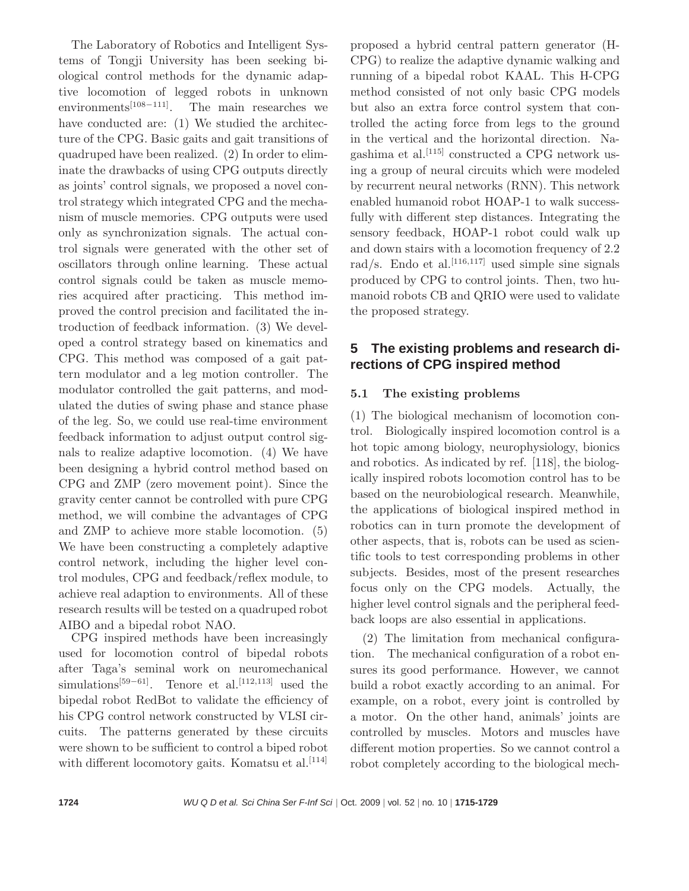The Laboratory of Robotics and Intelligent Systems of Tongji University has been seeking biological control methods for the dynamic adaptive locomotion of legged robots in unknown environments<sup>[108−111]</sup>. The main researches we have conducted are: (1) We studied the architecture of the CPG. Basic gaits and gait transitions of quadruped have been realized. (2) In order to eliminate the drawbacks of using CPG outputs directly as joints' control signals, we proposed a novel control strategy which integrated CPG and the mechanism of muscle memories. CPG outputs were used only as synchronization signals. The actual control signals were generated with the other set of oscillators through online learning. These actual control signals could be taken as muscle memories acquired after practicing. This method improved the control precision and facilitated the introduction of feedback information. (3) We developed a control strategy based on kinematics and CPG. This method was composed of a gait pattern modulator and a leg motion controller. The modulator controlled the gait patterns, and modulated the duties of swing phase and stance phase of the leg. So, we could use real-time environment feedback information to adjust output control signals to realize adaptive locomotion. (4) We have been designing a hybrid control method based on CPG and ZMP (zero movement point). Since the gravity center cannot be controlled with pure CPG method, we will combine the advantages of CPG and ZMP to achieve more stable locomotion. (5) We have been constructing a completely adaptive control network, including the higher level control modules, CPG and feedback/reflex module, to achieve real adaption to environments. All of these research results will be tested on a quadruped robot AIBO and a bipedal robot NAO.

CPG inspired methods have been increasingly used for locomotion control of bipedal robots after Taga's seminal work on neuromechanical simulations<sup>[59–61]</sup>. Tenore et al.<sup>[112,113]</sup> used the bipedal robot RedBot to validate the efficiency of his CPG control network constructed by VLSI circuits. The patterns generated by these circuits were shown to be sufficient to control a biped robot with different locomotory gaits. Komatsu et al.  $[114]$ 

proposed a hybrid central pattern generator (H-CPG) to realize the adaptive dynamic walking and running of a bipedal robot KAAL. This H-CPG method consisted of not only basic CPG models but also an extra force control system that controlled the acting force from legs to the ground in the vertical and the horizontal direction. Nagashima et al.<sup>[115]</sup> constructed a CPG network using a group of neural circuits which were modeled by recurrent neural networks (RNN). This network enabled humanoid robot HOAP-1 to walk successfully with different step distances. Integrating the sensory feedback, HOAP-1 robot could walk up and down stairs with a locomotion frequency of 2.2 rad/s. Endo et al.<sup>[116,117]</sup> used simple sine signals produced by CPG to control joints. Then, two humanoid robots CB and QRIO were used to validate the proposed strategy.

## **5 The existing problems and research directions of CPG inspired method**

## 5.1 The existing problems

(1) The biological mechanism of locomotion control. Biologically inspired locomotion control is a hot topic among biology, neurophysiology, bionics and robotics. As indicated by ref. [118], the biologically inspired robots locomotion control has to be based on the neurobiological research. Meanwhile, the applications of biological inspired method in robotics can in turn promote the development of other aspects, that is, robots can be used as scientific tools to test corresponding problems in other subjects. Besides, most of the present researches focus only on the CPG models. Actually, the higher level control signals and the peripheral feedback loops are also essential in applications.

(2) The limitation from mechanical configuration. The mechanical configuration of a robot ensures its good performance. However, we cannot build a robot exactly according to an animal. For example, on a robot, every joint is controlled by a motor. On the other hand, animals' joints are controlled by muscles. Motors and muscles have different motion properties. So we cannot control a robot completely according to the biological mech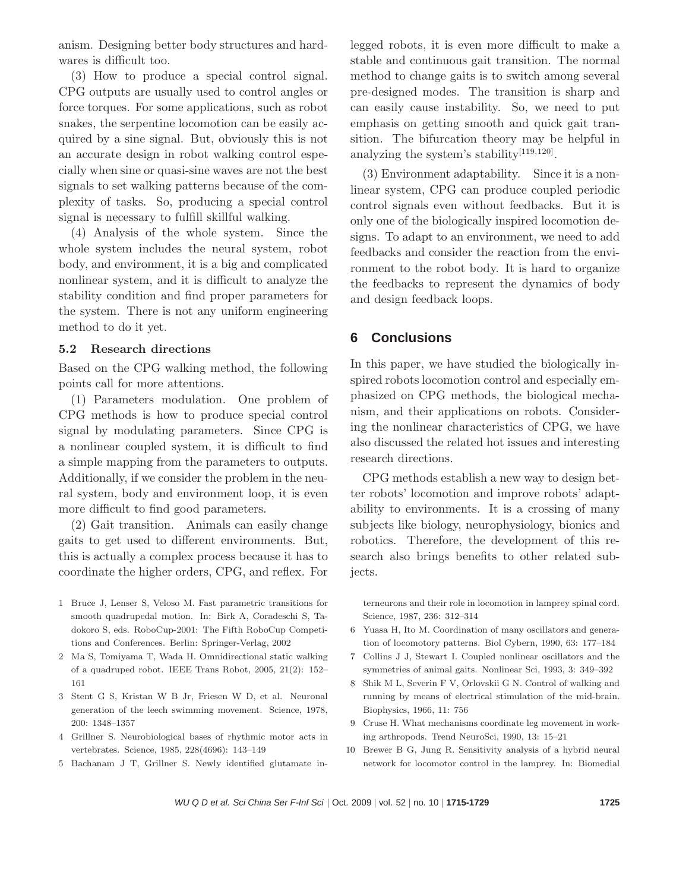anism. Designing better body structures and hardwares is difficult too.

(3) How to produce a special control signal. CPG outputs are usually used to control angles or force torques. For some applications, such as robot snakes, the serpentine locomotion can be easily acquired by a sine signal. But, obviously this is not an accurate design in robot walking control especially when sine or quasi-sine waves are not the best signals to set walking patterns because of the complexity of tasks. So, producing a special control signal is necessary to fulfill skillful walking.

(4) Analysis of the whole system. Since the whole system includes the neural system, robot body, and environment, it is a big and complicated nonlinear system, and it is difficult to analyze the stability condition and find proper parameters for the system. There is not any uniform engineering method to do it yet.

#### 5.2 Research directions

Based on the CPG walking method, the following points call for more attentions.

(1) Parameters modulation. One problem of CPG methods is how to produce special control signal by modulating parameters. Since CPG is a nonlinear coupled system, it is difficult to find a simple mapping from the parameters to outputs. Additionally, if we consider the problem in the neural system, body and environment loop, it is even more difficult to find good parameters.

(2) Gait transition. Animals can easily change gaits to get used to different environments. But, this is actually a complex process because it has to coordinate the higher orders, CPG, and reflex. For

- 1 Bruce J, Lenser S, Veloso M. Fast parametric transitions for smooth quadrupedal motion. In: Birk A, Coradeschi S, Tadokoro S, eds. RoboCup-2001: The Fifth RoboCup Competitions and Conferences. Berlin: Springer-Verlag, 2002
- 2 Ma S, Tomiyama T, Wada H. Omnidirectional static walking of a quadruped robot. IEEE Trans Robot, 2005, 21(2): 152– 161
- 3 Stent G S, Kristan W B Jr, Friesen W D, et al. Neuronal generation of the leech swimming movement. Science, 1978, 200: 1348–1357
- 4 Grillner S. Neurobiological bases of rhythmic motor acts in vertebrates. Science, 1985, 228(4696): 143–149
- 5 Bachanam J T, Grillner S. Newly identified glutamate in-

legged robots, it is even more difficult to make a stable and continuous gait transition. The normal method to change gaits is to switch among several pre-designed modes. The transition is sharp and can easily cause instability. So, we need to put emphasis on getting smooth and quick gait transition. The bifurcation theory may be helpful in analyzing the system's stability $[119, 120]$ .

(3) Environment adaptability. Since it is a nonlinear system, CPG can produce coupled periodic control signals even without feedbacks. But it is only one of the biologically inspired locomotion designs. To adapt to an environment, we need to add feedbacks and consider the reaction from the environment to the robot body. It is hard to organize the feedbacks to represent the dynamics of body and design feedback loops.

#### **6 Conclusions**

In this paper, we have studied the biologically inspired robots locomotion control and especially emphasized on CPG methods, the biological mechanism, and their applications on robots. Considering the nonlinear characteristics of CPG, we have also discussed the related hot issues and interesting research directions.

CPG methods establish a new way to design better robots' locomotion and improve robots' adaptability to environments. It is a crossing of many subjects like biology, neurophysiology, bionics and robotics. Therefore, the development of this research also brings benefits to other related subjects.

terneurons and their role in locomotion in lamprey spinal cord. Science, 1987, 236: 312–314

- 6 Yuasa H, Ito M. Coordination of many oscillators and generation of locomotory patterns. Biol Cybern, 1990, 63: 177–184
- 7 Collins J J, Stewart I. Coupled nonlinear oscillators and the symmetries of animal gaits. Nonlinear Sci, 1993, 3: 349–392
- 8 Shik M L, Severin F V, Orlovskii G N. Control of walking and running by means of electrical stimulation of the mid-brain. Biophysics, 1966, 11: 756
- 9 Cruse H. What mechanisms coordinate leg movement in working arthropods. Trend NeuroSci, 1990, 13: 15–21
- 10 Brewer B G, Jung R. Sensitivity analysis of a hybrid neural network for locomotor control in the lamprey. In: Biomedial

WU Q D et al. Sci China Ser F-Inf Sci | Oct. 2009 | vol. 52 | no. 10 | **1715-1729 1725**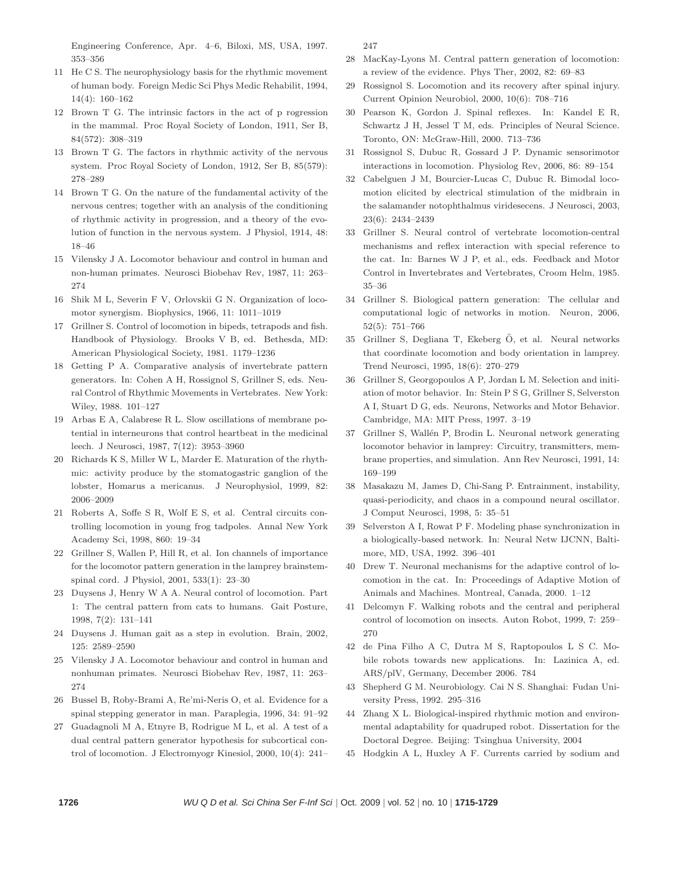Engineering Conference, Apr. 4–6, Biloxi, MS, USA, 1997. 353–356

- 11 He C S. The neurophysiology basis for the rhythmic movement of human body. Foreign Medic Sci Phys Medic Rehabilit, 1994, 14(4): 160–162
- 12 Brown T G. The intrinsic factors in the act of p rogression in the mammal. Proc Royal Society of London, 1911, Ser B, 84(572): 308–319
- 13 Brown T G. The factors in rhythmic activity of the nervous system. Proc Royal Society of London, 1912, Ser B, 85(579): 278–289
- 14 Brown T G. On the nature of the fundamental activity of the nervous centres; together with an analysis of the conditioning of rhythmic activity in progression, and a theory of the evolution of function in the nervous system. J Physiol, 1914, 48: 18–46
- 15 Vilensky J A. Locomotor behaviour and control in human and non-human primates. Neurosci Biobehav Rev, 1987, 11: 263– 274
- 16 Shik M L, Severin F V, Orlovskii G N. Organization of locomotor synergism. Biophysics, 1966, 11: 1011–1019
- 17 Grillner S. Control of locomotion in bipeds, tetrapods and fish. Handbook of Physiology. Brooks V B, ed. Bethesda, MD: American Physiological Society, 1981. 1179–1236
- 18 Getting P A. Comparative analysis of invertebrate pattern generators. In: Cohen A H, Rossignol S, Grillner S, eds. Neural Control of Rhythmic Movements in Vertebrates. New York: Wiley, 1988. 101–127
- 19 Arbas E A, Calabrese R L. Slow oscillations of membrane potential in interneurons that control heartbeat in the medicinal leech. J Neurosci, 1987, 7(12): 3953–3960
- 20 Richards K S, Miller W L, Marder E. Maturation of the rhythmic: activity produce by the stomatogastric ganglion of the lobster, Homarus a mericanus. J Neurophysiol, 1999, 82: 2006–2009
- 21 Roberts A, Soffe S R, Wolf E S, et al. Central circuits controlling locomotion in young frog tadpoles. Annal New York Academy Sci, 1998, 860: 19–34
- 22 Grillner S, Wallen P, Hill R, et al. Ion channels of importance for the locomotor pattern generation in the lamprey brainstemspinal cord. J Physiol, 2001, 533(1): 23–30
- 23 Duysens J, Henry W A A. Neural control of locomotion. Part 1: The central pattern from cats to humans. Gait Posture, 1998, 7(2): 131–141
- 24 Duysens J. Human gait as a step in evolution. Brain, 2002, 125: 2589–2590
- 25 Vilensky J A. Locomotor behaviour and control in human and nonhuman primates. Neurosci Biobehav Rev, 1987, 11: 263– 274
- 26 Bussel B, Roby-Brami A, Re'mi-Neris O, et al. Evidence for a spinal stepping generator in man. Paraplegia, 1996, 34: 91–92
- 27 Guadagnoli M A, Etnyre B, Rodrigue M L, et al. A test of a dual central pattern generator hypothesis for subcortical control of locomotion. J Electromyogr Kinesiol, 2000, 10(4): 241–

247

- 28 MacKay-Lyons M. Central pattern generation of locomotion: a review of the evidence. Phys Ther, 2002, 82: 69–83
- 29 Rossignol S. Locomotion and its recovery after spinal injury. Current Opinion Neurobiol, 2000, 10(6): 708–716
- 30 Pearson K, Gordon J. Spinal reflexes. In: Kandel E R, Schwartz J H, Jessel T M, eds. Principles of Neural Science. Toronto, ON: McGraw-Hill, 2000. 713–736
- 31 Rossignol S, Dubuc R, Gossard J P. Dynamic sensorimotor interactions in locomotion. Physiolog Rev, 2006, 86: 89–154
- 32 Cabelguen J M, Bourcier-Lucas C, Dubuc R. Bimodal locomotion elicited by electrical stimulation of the midbrain in the salamander notophthalmus viridesecens. J Neurosci, 2003, 23(6): 2434–2439
- 33 Grillner S. Neural control of vertebrate locomotion-central mechanisms and reflex interaction with special reference to the cat. In: Barnes W J P, et al., eds. Feedback and Motor Control in Invertebrates and Vertebrates, Croom Helm, 1985. 35–36
- 34 Grillner S. Biological pattern generation: The cellular and computational logic of networks in motion. Neuron, 2006, 52(5): 751–766
- 35 Grillner S, Degliana T, Ekeberg O, et al. Neural networks ¨ that coordinate locomotion and body orientation in lamprey. Trend Neurosci, 1995, 18(6): 270–279
- 36 Grillner S, Georgopoulos A P, Jordan L M. Selection and initiation of motor behavior. In: Stein P S G, Grillner S, Selverston A I, Stuart D G, eds. Neurons, Networks and Motor Behavior. Cambridge, MA: MIT Press, 1997. 3–19
- 37 Grillner S, Wallén P, Brodin L. Neuronal network generating locomotor behavior in lamprey: Circuitry, transmitters, membrane properties, and simulation. Ann Rev Neurosci, 1991, 14: 169–199
- 38 Masakazu M, James D, Chi-Sang P. Entrainment, instability, quasi-periodicity, and chaos in a compound neural oscillator. J Comput Neurosci, 1998, 5: 35–51
- 39 Selverston A I, Rowat P F. Modeling phase synchronization in a biologically-based network. In: Neural Netw IJCNN, Baltimore, MD, USA, 1992. 396–401
- 40 Drew T. Neuronal mechanisms for the adaptive control of locomotion in the cat. In: Proceedings of Adaptive Motion of Animals and Machines. Montreal, Canada, 2000. 1–12
- 41 Delcomyn F. Walking robots and the central and peripheral control of locomotion on insects. Auton Robot, 1999, 7: 259– 270
- 42 de Pina Filho A C, Dutra M S, Raptopoulos L S C. Mobile robots towards new applications. In: Lazinica A, ed. ARS/plV, Germany, December 2006. 784
- 43 Shepherd G M. Neurobiology. Cai N S. Shanghai: Fudan University Press, 1992. 295–316
- 44 Zhang X L. Biological-inspired rhythmic motion and environmental adaptability for quadruped robot. Dissertation for the Doctoral Degree. Beijing: Tsinghua University, 2004
- 45 Hodgkin A L, Huxley A F. Currents carried by sodium and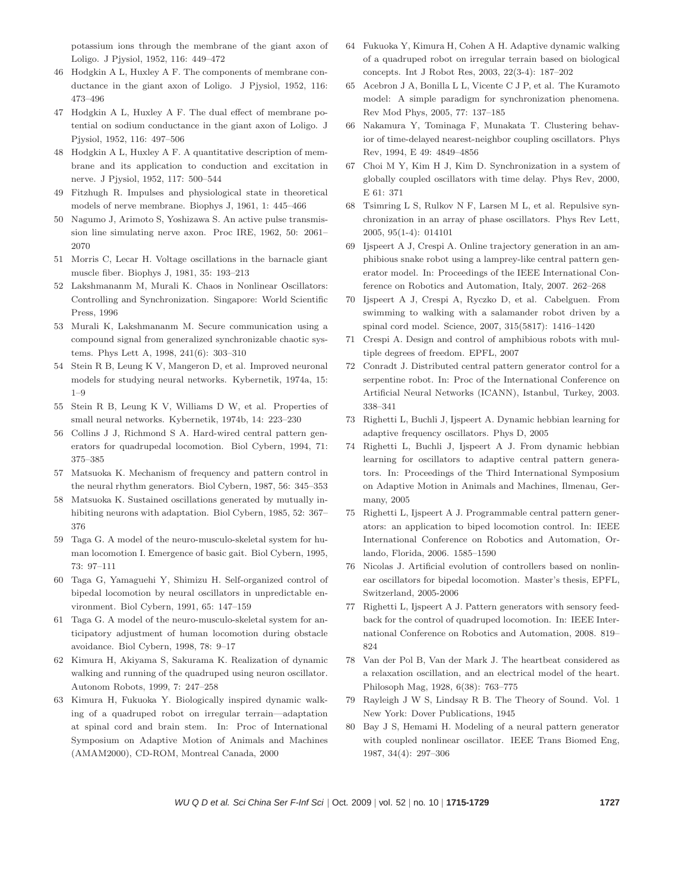potassium ions through the membrane of the giant axon of Loligo. J Pjysiol, 1952, 116: 449–472

- 46 Hodgkin A L, Huxley A F. The components of membrane conductance in the giant axon of Loligo. J Pjysiol, 1952, 116: 473–496
- 47 Hodgkin A L, Huxley A F. The dual effect of membrane potential on sodium conductance in the giant axon of Loligo. J Pjysiol, 1952, 116: 497–506
- 48 Hodgkin A L, Huxley A F. A quantitative description of membrane and its application to conduction and excitation in nerve. J Pjysiol, 1952, 117: 500–544
- 49 Fitzhugh R. Impulses and physiological state in theoretical models of nerve membrane. Biophys J, 1961, 1: 445–466
- 50 Nagumo J, Arimoto S, Yoshizawa S. An active pulse transmission line simulating nerve axon. Proc IRE, 1962, 50: 2061– 2070
- 51 Morris C, Lecar H. Voltage oscillations in the barnacle giant muscle fiber. Biophys J, 1981, 35: 193–213
- 52 Lakshmananm M, Murali K. Chaos in Nonlinear Oscillators: Controlling and Synchronization. Singapore: World Scientific Press, 1996
- 53 Murali K, Lakshmananm M. Secure communication using a compound signal from generalized synchronizable chaotic systems. Phys Lett A, 1998, 241(6): 303–310
- 54 Stein R B, Leung K V, Mangeron D, et al. Improved neuronal models for studying neural networks. Kybernetik, 1974a, 15: 1–9
- 55 Stein R B, Leung K V, Williams D W, et al. Properties of small neural networks. Kybernetik, 1974b, 14: 223–230
- 56 Collins J J, Richmond S A. Hard-wired central pattern generators for quadrupedal locomotion. Biol Cybern, 1994, 71: 375–385
- 57 Matsuoka K. Mechanism of frequency and pattern control in the neural rhythm generators. Biol Cybern, 1987, 56: 345–353
- 58 Matsuoka K. Sustained oscillations generated by mutually inhibiting neurons with adaptation. Biol Cybern, 1985, 52: 367– 376
- 59 Taga G. A model of the neuro-musculo-skeletal system for human locomotion I. Emergence of basic gait. Biol Cybern, 1995, 73: 97–111
- 60 Taga G, Yamaguehi Y, Shimizu H. Self-organized control of bipedal locomotion by neural oscillators in unpredictable environment. Biol Cybern, 1991, 65: 147–159
- 61 Taga G. A model of the neuro-musculo-skeletal system for anticipatory adjustment of human locomotion during obstacle avoidance. Biol Cybern, 1998, 78: 9–17
- 62 Kimura H, Akiyama S, Sakurama K. Realization of dynamic walking and running of the quadruped using neuron oscillator. Autonom Robots, 1999, 7: 247–258
- 63 Kimura H, Fukuoka Y. Biologically inspired dynamic walking of a quadruped robot on irregular terrain—adaptation at spinal cord and brain stem. In: Proc of International Symposium on Adaptive Motion of Animals and Machines (AMAM2000), CD-ROM, Montreal Canada, 2000
- 64 Fukuoka Y, Kimura H, Cohen A H. Adaptive dynamic walking of a quadruped robot on irregular terrain based on biological concepts. Int J Robot Res, 2003, 22(3-4): 187–202
- 65 Acebron J A, Bonilla L L, Vicente C J P, et al. The Kuramoto model: A simple paradigm for synchronization phenomena. Rev Mod Phys, 2005, 77: 137–185
- 66 Nakamura Y, Tominaga F, Munakata T. Clustering behavior of time-delayed nearest-neighbor coupling oscillators. Phys Rev, 1994, E 49: 4849–4856
- 67 Choi M Y, Kim H J, Kim D. Synchronization in a system of globally coupled oscillators with time delay. Phys Rev, 2000, E 61: 371
- 68 Tsimring L S, Rulkov N F, Larsen M L, et al. Repulsive synchronization in an array of phase oscillators. Phys Rev Lett, 2005, 95(1-4): 014101
- 69 Ijspeert A J, Crespi A. Online trajectory generation in an amphibious snake robot using a lamprey-like central pattern generator model. In: Proceedings of the IEEE International Conference on Robotics and Automation, Italy, 2007. 262–268
- 70 Ijspeert A J, Crespi A, Ryczko D, et al. Cabelguen. From swimming to walking with a salamander robot driven by a spinal cord model. Science, 2007, 315(5817): 1416–1420
- 71 Crespi A. Design and control of amphibious robots with multiple degrees of freedom. EPFL, 2007
- 72 Conradt J. Distributed central pattern generator control for a serpentine robot. In: Proc of the International Conference on Artificial Neural Networks (ICANN), Istanbul, Turkey, 2003. 338–341
- 73 Righetti L, Buchli J, Ijspeert A. Dynamic hebbian learning for adaptive frequency oscillators. Phys D, 2005
- 74 Righetti L, Buchli J, Ijspeert A J. From dynamic hebbian learning for oscillators to adaptive central pattern generators. In: Proceedings of the Third International Symposium on Adaptive Motion in Animals and Machines, Ilmenau, Germany, 2005
- 75 Righetti L, Ijspeert A J. Programmable central pattern generators: an application to biped locomotion control. In: IEEE International Conference on Robotics and Automation, Orlando, Florida, 2006. 1585–1590
- 76 Nicolas J. Artificial evolution of controllers based on nonlinear oscillators for bipedal locomotion. Master's thesis, EPFL, Switzerland, 2005-2006
- 77 Righetti L, Ijspeert A J. Pattern generators with sensory feedback for the control of quadruped locomotion. In: IEEE International Conference on Robotics and Automation, 2008. 819– 824
- 78 Van der Pol B, Van der Mark J. The heartbeat considered as a relaxation oscillation, and an electrical model of the heart. Philosoph Mag, 1928, 6(38): 763–775
- 79 Rayleigh J W S, Lindsay R B. The Theory of Sound. Vol. 1 New York: Dover Publications, 1945
- 80 Bay J S, Hemami H. Modeling of a neural pattern generator with coupled nonlinear oscillator. IEEE Trans Biomed Eng, 1987, 34(4): 297–306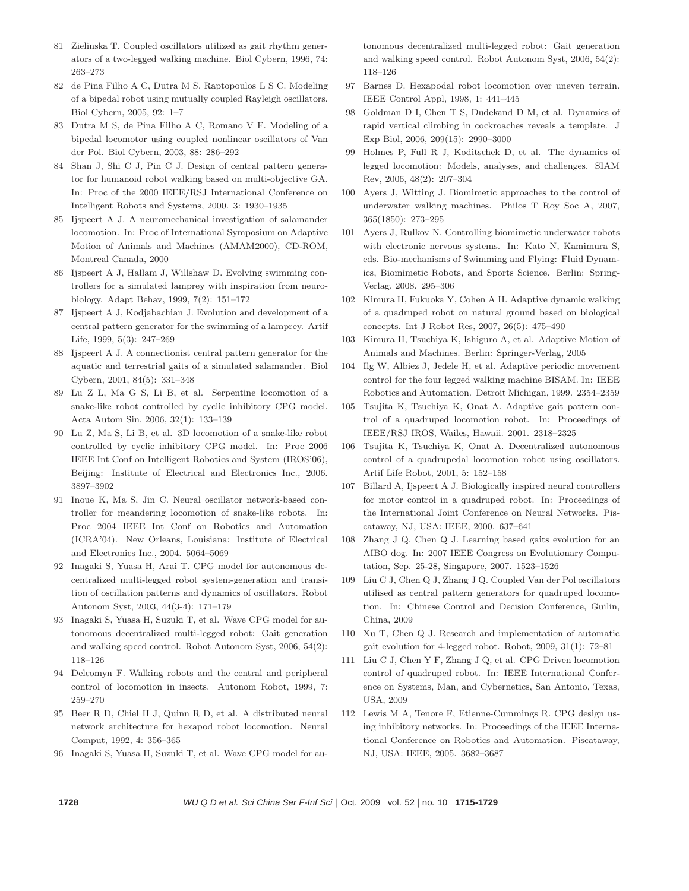- 81 Zielinska T. Coupled oscillators utilized as gait rhythm generators of a two-legged walking machine. Biol Cybern, 1996, 74: 263–273
- 82 de Pina Filho A C, Dutra M S, Raptopoulos L S C. Modeling of a bipedal robot using mutually coupled Rayleigh oscillators. Biol Cybern, 2005, 92: 1–7
- 83 Dutra M S, de Pina Filho A C, Romano V F. Modeling of a bipedal locomotor using coupled nonlinear oscillators of Van der Pol. Biol Cybern, 2003, 88: 286–292
- 84 Shan J, Shi C J, Pin C J. Design of central pattern generator for humanoid robot walking based on multi-objective GA. In: Proc of the 2000 IEEE/RSJ International Conference on Intelligent Robots and Systems, 2000. 3: 1930–1935
- 85 Ijspeert A J. A neuromechanical investigation of salamander locomotion. In: Proc of International Symposium on Adaptive Motion of Animals and Machines (AMAM2000), CD-ROM, Montreal Canada, 2000
- 86 Ijspeert A J, Hallam J, Willshaw D. Evolving swimming controllers for a simulated lamprey with inspiration from neurobiology. Adapt Behav, 1999, 7(2): 151–172
- 87 Ijspeert A J, Kodjabachian J. Evolution and development of a central pattern generator for the swimming of a lamprey. Artif Life, 1999, 5(3): 247–269
- 88 Ijspeert A J. A connectionist central pattern generator for the aquatic and terrestrial gaits of a simulated salamander. Biol Cybern, 2001, 84(5): 331–348
- 89 Lu Z L, Ma G S, Li B, et al. Serpentine locomotion of a snake-like robot controlled by cyclic inhibitory CPG model. Acta Autom Sin, 2006, 32(1): 133–139
- 90 Lu Z, Ma S, Li B, et al. 3D locomotion of a snake-like robot controlled by cyclic inhibitory CPG model. In: Proc 2006 IEEE Int Conf on Intelligent Robotics and System (IROS'06), Beijing: Institute of Electrical and Electronics Inc., 2006. 3897–3902
- 91 Inoue K, Ma S, Jin C. Neural oscillator network-based controller for meandering locomotion of snake-like robots. In: Proc 2004 IEEE Int Conf on Robotics and Automation (ICRA'04). New Orleans, Louisiana: Institute of Electrical and Electronics Inc., 2004. 5064–5069
- 92 Inagaki S, Yuasa H, Arai T. CPG model for autonomous decentralized multi-legged robot system-generation and transition of oscillation patterns and dynamics of oscillators. Robot Autonom Syst, 2003, 44(3-4): 171–179
- 93 Inagaki S, Yuasa H, Suzuki T, et al. Wave CPG model for autonomous decentralized multi-legged robot: Gait generation and walking speed control. Robot Autonom Syst, 2006, 54(2): 118–126
- 94 Delcomyn F. Walking robots and the central and peripheral control of locomotion in insects. Autonom Robot, 1999, 7: 259–270
- 95 Beer R D, Chiel H J, Quinn R D, et al. A distributed neural network architecture for hexapod robot locomotion. Neural Comput, 1992, 4: 356–365
- 96 Inagaki S, Yuasa H, Suzuki T, et al. Wave CPG model for au-

tonomous decentralized multi-legged robot: Gait generation and walking speed control. Robot Autonom Syst, 2006, 54(2): 118–126

- 97 Barnes D. Hexapodal robot locomotion over uneven terrain. IEEE Control Appl, 1998, 1: 441–445
- 98 Goldman D I, Chen T S, Dudekand D M, et al. Dynamics of rapid vertical climbing in cockroaches reveals a template. J Exp Biol, 2006, 209(15): 2990–3000
- 99 Holmes P, Full R J, Koditschek D, et al. The dynamics of legged locomotion: Models, analyses, and challenges. SIAM Rev, 2006, 48(2): 207–304
- 100 Ayers J, Witting J. Biomimetic approaches to the control of underwater walking machines. Philos T Roy Soc A, 2007, 365(1850): 273–295
- 101 Ayers J, Rulkov N. Controlling biomimetic underwater robots with electronic nervous systems. In: Kato N, Kamimura S, eds. Bio-mechanisms of Swimming and Flying: Fluid Dynamics, Biomimetic Robots, and Sports Science. Berlin: Spring-Verlag, 2008. 295–306
- 102 Kimura H, Fukuoka Y, Cohen A H. Adaptive dynamic walking of a quadruped robot on natural ground based on biological concepts. Int J Robot Res, 2007, 26(5): 475–490
- 103 Kimura H, Tsuchiya K, Ishiguro A, et al. Adaptive Motion of Animals and Machines. Berlin: Springer-Verlag, 2005
- 104 Ilg W, Albiez J, Jedele H, et al. Adaptive periodic movement control for the four legged walking machine BISAM. In: IEEE Robotics and Automation. Detroit Michigan, 1999. 2354–2359
- 105 Tsujita K, Tsuchiya K, Onat A. Adaptive gait pattern control of a quadruped locomotion robot. In: Proceedings of IEEE/RSJ IROS, Wailes, Hawaii. 2001. 2318–2325
- 106 Tsujita K, Tsuchiya K, Onat A. Decentralized autonomous control of a quadrupedal locomotion robot using oscillators. Artif Life Robot, 2001, 5: 152–158
- 107 Billard A, Ijspeert A J. Biologically inspired neural controllers for motor control in a quadruped robot. In: Proceedings of the International Joint Conference on Neural Networks. Piscataway, NJ, USA: IEEE, 2000. 637–641
- 108 Zhang J Q, Chen Q J. Learning based gaits evolution for an AIBO dog. In: 2007 IEEE Congress on Evolutionary Computation, Sep. 25-28, Singapore, 2007. 1523–1526
- 109 Liu C J, Chen Q J, Zhang J Q. Coupled Van der Pol oscillators utilised as central pattern generators for quadruped locomotion. In: Chinese Control and Decision Conference, Guilin, China, 2009
- 110 Xu T, Chen Q J. Research and implementation of automatic gait evolution for 4-legged robot. Robot, 2009, 31(1): 72–81
- 111 Liu C J, Chen Y F, Zhang J Q, et al. CPG Driven locomotion control of quadruped robot. In: IEEE International Conference on Systems, Man, and Cybernetics, San Antonio, Texas, USA, 2009
- 112 Lewis M A, Tenore F, Etienne-Cummings R. CPG design using inhibitory networks. In: Proceedings of the IEEE International Conference on Robotics and Automation. Piscataway, NJ, USA: IEEE, 2005. 3682–3687